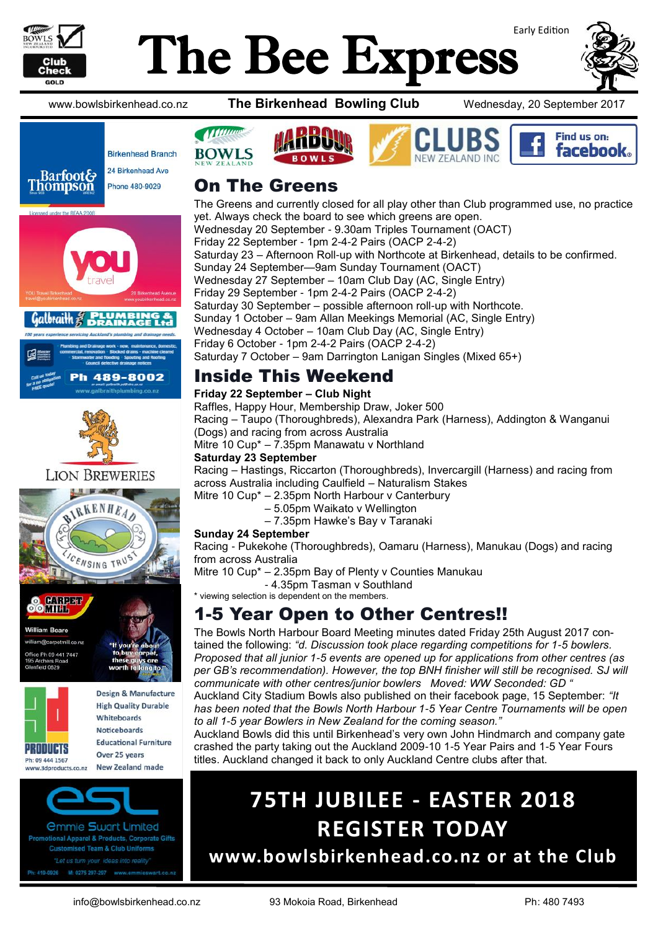

# Early Edition The Bee Express



Find us on: **facebook** 

www.bowlsbirkenhead.co.nz **The Birkenhead Bowling Club** Wednesday, 20 September 2017







h 489-8002



### **LION BREWERIES**





*<u>Ommie Swart Limited</u>* ional Apparel & Products, Corporate Gifts **Customised Team & Club Uniforms** 419-0926 M: 0275 297-297 www.er



*M MARGE* 

The Greens and currently closed for all play other than Club programmed use, no practice yet. Always check the board to see which greens are open. Wednesday 20 September - 9.30am Triples Tournament (OACT) Friday 22 September - 1pm 2-4-2 Pairs (OACP 2-4-2) Saturday 23 – Afternoon Roll-up with Northcote at Birkenhead, details to be confirmed. Sunday 24 September—9am Sunday Tournament (OACT) Wednesday 27 September – 10am Club Day (AC, Single Entry) Friday 29 September - 1pm 2-4-2 Pairs (OACP 2-4-2) Saturday 30 September – possible afternoon roll-up with Northcote. Sunday 1 October – 9am Allan Meekings Memorial (AC, Single Entry) Wednesday 4 October – 10am Club Day (AC, Single Entry) Friday 6 October - 1pm 2-4-2 Pairs (OACP 2-4-2) Saturday 7 October – 9am Darrington Lanigan Singles (Mixed 65+)

### Inside This Weekend

#### **Friday 22 September – Club Night**

Raffles, Happy Hour, Membership Draw, Joker 500 Racing – Taupo (Thoroughbreds), Alexandra Park (Harness), Addington & Wanganui (Dogs) and racing from across Australia Mitre 10 Cup\* – 7.35pm Manawatu v Northland

#### **Saturday 23 September**

Racing – Hastings, Riccarton (Thoroughbreds), Invercargill (Harness) and racing from across Australia including Caulfield – Naturalism Stakes

Mitre 10 Cup\* – 2.35pm North Harbour v Canterbury

- 5.05pm Waikato v Wellington
- 7.35pm Hawke's Bay v Taranaki

#### **Sunday 24 September**

Racing - Pukekohe (Thoroughbreds), Oamaru (Harness), Manukau (Dogs) and racing from across Australia

Mitre 10 Cup\* – 2.35pm Bay of Plenty v Counties Manukau

- 4.35pm Tasman v Southland

#### \* viewing selection is dependent on the members.

# 1-5 Year Open to Other Centres!!

The Bowls North Harbour Board Meeting minutes dated Friday 25th August 2017 contained the following: *"d. Discussion took place regarding competitions for 1-5 bowlers. Proposed that all junior 1-5 events are opened up for applications from other centres (as*  per GB's recommendation). However, the top BNH finisher will still be recognised. SJ will *communicate with other centres/junior bowlers Moved: WW Seconded: GD "*

Auckland City Stadium Bowls also published on their facebook page, 15 September: *"It has been noted that the Bowls North Harbour 1-5 Year Centre Tournaments will be open to all 1-5 year Bowlers in New Zealand for the coming season."*

Auckland Bowls did this until Birkenhead's very own John Hindmarch and company gate crashed the party taking out the Auckland 2009-10 1-5 Year Pairs and 1-5 Year Fours titles. Auckland changed it back to only Auckland Centre clubs after that.

# **75TH JUBILEE - EASTER 2018 REGISTER TODAY**

**www.bowlsbirkenhead.co.nz or at the Club**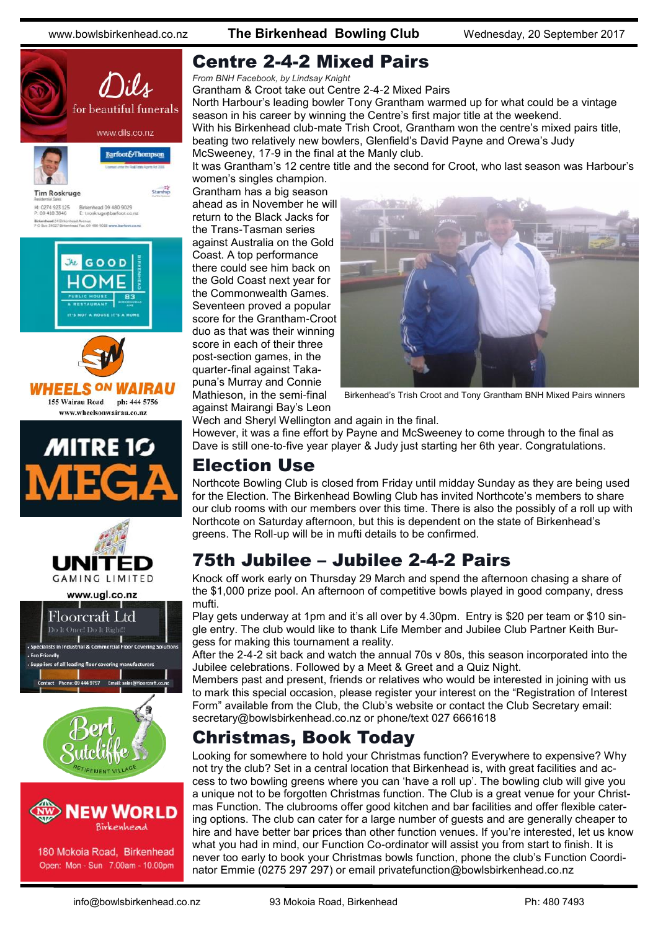www.bowlsbirkenhead.co.nz **The Birkenhead Bowling Club** Wednesday, 20 September 2017





180 Mokoia Road, Birkenhead Open: Mon - Sun 7.00am - 10.00pm

### Centre 2-4-2 Mixed Pairs

*From BNH Facebook, by Lindsay Knight*

Grantham & Croot take out Centre 2-4-2 Mixed Pairs North Harbour's leading bowler Tony Grantham warmed up for what could be a vintage season in his career by winning the Centre's first major title at the weekend. With his Birkenhead club-mate Trish Croot, Grantham won the centre's mixed pairs title, beating two relatively new bowlers, Glenfield's David Payne and Orewa's Judy McSweeney, 17-9 in the final at the Manly club.

It was Grantham's 12 centre title and the second for Croot, who last season was Harbour's women's singles champion.

Grantham has a big season ahead as in November he will return to the Black Jacks for the Trans-Tasman series against Australia on the Gold Coast. A top performance there could see him back on the Gold Coast next year for the Commonwealth Games. Seventeen proved a popular score for the Grantham-Croot duo as that was their winning score in each of their three post-section games, in the quarter-final against Takapuna's Murray and Connie Mathieson, in the semi-final against Mairangi Bay's Leon



Birkenhead's Trish Croot and Tony Grantham BNH Mixed Pairs winners

Wech and Sheryl Wellington and again in the final.

However, it was a fine effort by Payne and McSweeney to come through to the final as Dave is still one-to-five year player & Judy just starting her 6th year. Congratulations.

#### Election Use

Northcote Bowling Club is closed from Friday until midday Sunday as they are being used for the Election. The Birkenhead Bowling Club has invited Northcote's members to share our club rooms with our members over this time. There is also the possibly of a roll up with Northcote on Saturday afternoon, but this is dependent on the state of Birkenhead's greens. The Roll-up will be in mufti details to be confirmed.

# 75th Jubilee – Jubilee 2-4-2 Pairs

Knock off work early on Thursday 29 March and spend the afternoon chasing a share of the \$1,000 prize pool. An afternoon of competitive bowls played in good company, dress mufti.

Play gets underway at 1pm and it's all over by 4.30pm. Entry is \$20 per team or \$10 single entry. The club would like to thank Life Member and Jubilee Club Partner Keith Burgess for making this tournament a reality.

After the 2-4-2 sit back and watch the annual 70s v 80s, this season incorporated into the Jubilee celebrations. Followed by a Meet & Greet and a Quiz Night.

Members past and present, friends or relatives who would be interested in joining with us to mark this special occasion, please register your interest on the "Registration of Interest Form" available from the Club, the Club's website or contact the Club Secretary email: secretary@bowlsbirkenhead.co.nz or phone/text 027 6661618

### Christmas, Book Today

Looking for somewhere to hold your Christmas function? Everywhere to expensive? Why not try the club? Set in a central location that Birkenhead is, with great facilities and access to two bowling greens where you can 'have a roll up'. The bowling club will give you a unique not to be forgotten Christmas function. The Club is a great venue for your Christmas Function. The clubrooms offer good kitchen and bar facilities and offer flexible catering options. The club can cater for a large number of guests and are generally cheaper to hire and have better bar prices than other function venues. If you're interested, let us know what you had in mind, our Function Co-ordinator will assist you from start to finish. It is never too early to book your Christmas bowls function, phone the club's Function Coordinator Emmie (0275 297 297) or email [privatefunction@bowlsbirkenhead.co.nz](mailto:privatefunction@bowlsbirkenhead.co.nz)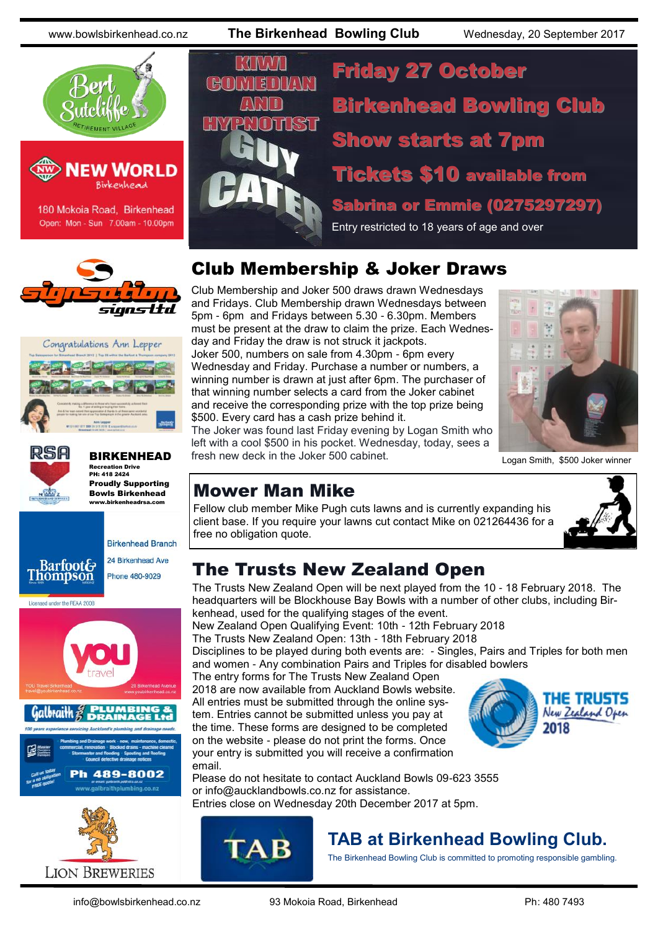www.bowlsbirkenhead.co.nz **The Birkenhead Bowling Club** Wednesday, 20 September 2017





180 Mokoia Road, Birkenhead Open: Mon - Sun 7.00am - 10.00pm







BIRKENHEAD Recreation Drive PH: 418 2424 Proudly Supporting Bowls Birkenhead

www.birkenheadrsa.com







M.  $H<sub>1</sub>$ 

Friday 27 October Birkenhead Bowling Club Show starts at 7pm Tickets \$10 available from Sabrina or Emmie (0275297297) Entry restricted to 18 years of age and over

# Club Membership & Joker Draws

Club Membership and Joker 500 draws drawn Wednesdays and Fridays. Club Membership drawn Wednesdays between 5pm - 6pm and Fridays between 5.30 - 6.30pm. Members must be present at the draw to claim the prize. Each Wednesday and Friday the draw is not struck it jackpots. Joker 500, numbers on sale from 4.30pm - 6pm every Wednesday and Friday. Purchase a number or numbers, a winning number is drawn at just after 6pm. The purchaser of that winning number selects a card from the Joker cabinet and receive the corresponding prize with the top prize being \$500. Every card has a cash prize behind it.



#### The Joker was found last Friday evening by Logan Smith who left with a cool \$500 in his pocket. Wednesday, today, sees a fresh new deck in the Joker 500 cabinet. Logan Smith, \$500 Joker winner

# Mower Man Mike

Fellow club member Mike Pugh cuts lawns and is currently expanding his client base. If you require your lawns cut contact Mike on 021264436 for a free no obligation quote.



# The Trusts New Zealand Open

The Trusts New Zealand Open will be next played from the 10 - 18 February 2018. The headquarters will be Blockhouse Bay Bowls with a number of other clubs, including Birkenhead, used for the qualifying stages of the event.

New Zealand Open Qualifying Event: 10th - 12th February 2018 The Trusts New Zealand Open: 13th - 18th February 2018

Disciplines to be played during both events are: - Singles, Pairs and Triples for both men and women - Any combination Pairs and Triples for disabled bowlers

The entry forms for The Trusts New Zealand Open 2018 are now available from Auckland Bowls website. All entries must be submitted through the online sys-

tem. Entries cannot be submitted unless you pay at the time. These forms are designed to be completed on the website - please do not print the forms. Once your entry is submitted you will receive a confirmation email.



Please do not hesitate to contact Auckland Bowls 09-623 3555 or [info@aucklandbowls.co.nz](mailto:info@aucklandbowls.co.nz) for assistance. Entries close on Wednesday 20th December 2017 at 5pm.



# **TAB at Birkenhead Bowling Club.**

The Birkenhead Bowling Club is committed to promoting responsible gambling.